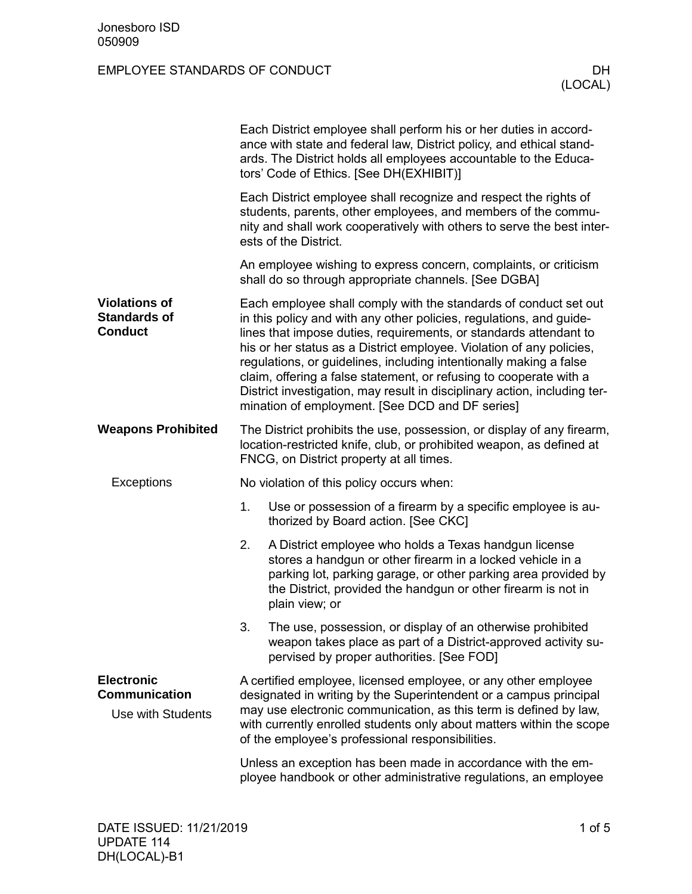|                                                                | Each District employee shall perform his or her duties in accord-<br>ance with state and federal law, District policy, and ethical stand-<br>ards. The District holds all employees accountable to the Educa-<br>tors' Code of Ethics. [See DH(EXHIBIT)]                                                                                                                                                                                                                                                                                                         |                                                                                                                                                                                                                                                                          |  |  |  |
|----------------------------------------------------------------|------------------------------------------------------------------------------------------------------------------------------------------------------------------------------------------------------------------------------------------------------------------------------------------------------------------------------------------------------------------------------------------------------------------------------------------------------------------------------------------------------------------------------------------------------------------|--------------------------------------------------------------------------------------------------------------------------------------------------------------------------------------------------------------------------------------------------------------------------|--|--|--|
|                                                                | Each District employee shall recognize and respect the rights of<br>students, parents, other employees, and members of the commu-<br>nity and shall work cooperatively with others to serve the best inter-<br>ests of the District.                                                                                                                                                                                                                                                                                                                             |                                                                                                                                                                                                                                                                          |  |  |  |
|                                                                | An employee wishing to express concern, complaints, or criticism<br>shall do so through appropriate channels. [See DGBA]                                                                                                                                                                                                                                                                                                                                                                                                                                         |                                                                                                                                                                                                                                                                          |  |  |  |
| <b>Violations of</b><br><b>Standards of</b><br><b>Conduct</b>  | Each employee shall comply with the standards of conduct set out<br>in this policy and with any other policies, regulations, and guide-<br>lines that impose duties, requirements, or standards attendant to<br>his or her status as a District employee. Violation of any policies,<br>regulations, or guidelines, including intentionally making a false<br>claim, offering a false statement, or refusing to cooperate with a<br>District investigation, may result in disciplinary action, including ter-<br>mination of employment. [See DCD and DF series] |                                                                                                                                                                                                                                                                          |  |  |  |
| <b>Weapons Prohibited</b>                                      | The District prohibits the use, possession, or display of any firearm,<br>location-restricted knife, club, or prohibited weapon, as defined at<br>FNCG, on District property at all times.                                                                                                                                                                                                                                                                                                                                                                       |                                                                                                                                                                                                                                                                          |  |  |  |
| Exceptions                                                     | No violation of this policy occurs when:                                                                                                                                                                                                                                                                                                                                                                                                                                                                                                                         |                                                                                                                                                                                                                                                                          |  |  |  |
|                                                                | 1.                                                                                                                                                                                                                                                                                                                                                                                                                                                                                                                                                               | Use or possession of a firearm by a specific employee is au-<br>thorized by Board action. [See CKC]                                                                                                                                                                      |  |  |  |
|                                                                | 2.                                                                                                                                                                                                                                                                                                                                                                                                                                                                                                                                                               | A District employee who holds a Texas handgun license<br>stores a handgun or other firearm in a locked vehicle in a<br>parking lot, parking garage, or other parking area provided by<br>the District, provided the handgun or other firearm is not in<br>plain view; or |  |  |  |
|                                                                | 3.                                                                                                                                                                                                                                                                                                                                                                                                                                                                                                                                                               | The use, possession, or display of an otherwise prohibited<br>weapon takes place as part of a District-approved activity su-<br>pervised by proper authorities. [See FOD]                                                                                                |  |  |  |
| <b>Electronic</b><br><b>Communication</b><br>Use with Students | A certified employee, licensed employee, or any other employee<br>designated in writing by the Superintendent or a campus principal<br>may use electronic communication, as this term is defined by law,<br>with currently enrolled students only about matters within the scope<br>of the employee's professional responsibilities.                                                                                                                                                                                                                             |                                                                                                                                                                                                                                                                          |  |  |  |
|                                                                |                                                                                                                                                                                                                                                                                                                                                                                                                                                                                                                                                                  | Unless an exception has been made in accordance with the em-<br>ployee handbook or other administrative regulations, an employee                                                                                                                                         |  |  |  |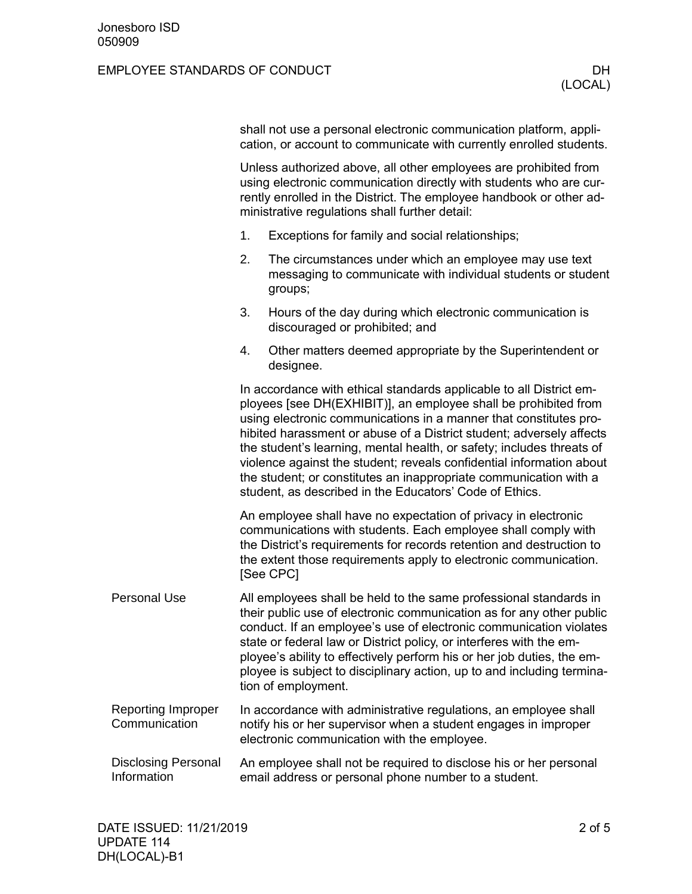|                                            | shall not use a personal electronic communication platform, appli-<br>cation, or account to communicate with currently enrolled students.                                                                                                                                                                                                                                                                                                                                                                                                                            |                                                                                                                                                                                                                                                                                                                                                                                                                                                                   |  |  |
|--------------------------------------------|----------------------------------------------------------------------------------------------------------------------------------------------------------------------------------------------------------------------------------------------------------------------------------------------------------------------------------------------------------------------------------------------------------------------------------------------------------------------------------------------------------------------------------------------------------------------|-------------------------------------------------------------------------------------------------------------------------------------------------------------------------------------------------------------------------------------------------------------------------------------------------------------------------------------------------------------------------------------------------------------------------------------------------------------------|--|--|
|                                            | Unless authorized above, all other employees are prohibited from<br>using electronic communication directly with students who are cur-<br>rently enrolled in the District. The employee handbook or other ad-<br>ministrative regulations shall further detail:                                                                                                                                                                                                                                                                                                      |                                                                                                                                                                                                                                                                                                                                                                                                                                                                   |  |  |
|                                            | 1.                                                                                                                                                                                                                                                                                                                                                                                                                                                                                                                                                                   | Exceptions for family and social relationships;                                                                                                                                                                                                                                                                                                                                                                                                                   |  |  |
|                                            | 2.                                                                                                                                                                                                                                                                                                                                                                                                                                                                                                                                                                   | The circumstances under which an employee may use text<br>messaging to communicate with individual students or student<br>groups;                                                                                                                                                                                                                                                                                                                                 |  |  |
|                                            | 3.                                                                                                                                                                                                                                                                                                                                                                                                                                                                                                                                                                   | Hours of the day during which electronic communication is<br>discouraged or prohibited; and                                                                                                                                                                                                                                                                                                                                                                       |  |  |
|                                            | 4.                                                                                                                                                                                                                                                                                                                                                                                                                                                                                                                                                                   | Other matters deemed appropriate by the Superintendent or<br>designee.                                                                                                                                                                                                                                                                                                                                                                                            |  |  |
|                                            | In accordance with ethical standards applicable to all District em-<br>ployees [see DH(EXHIBIT)], an employee shall be prohibited from<br>using electronic communications in a manner that constitutes pro-<br>hibited harassment or abuse of a District student; adversely affects<br>the student's learning, mental health, or safety; includes threats of<br>violence against the student; reveals confidential information about<br>the student; or constitutes an inappropriate communication with a<br>student, as described in the Educators' Code of Ethics. |                                                                                                                                                                                                                                                                                                                                                                                                                                                                   |  |  |
|                                            | An employee shall have no expectation of privacy in electronic<br>communications with students. Each employee shall comply with<br>the District's requirements for records retention and destruction to<br>the extent those requirements apply to electronic communication.<br>[See CPC]                                                                                                                                                                                                                                                                             |                                                                                                                                                                                                                                                                                                                                                                                                                                                                   |  |  |
| <b>Personal Use</b>                        |                                                                                                                                                                                                                                                                                                                                                                                                                                                                                                                                                                      | All employees shall be held to the same professional standards in<br>their public use of electronic communication as for any other public<br>conduct. If an employee's use of electronic communication violates<br>state or federal law or District policy, or interferes with the em-<br>ployee's ability to effectively perform his or her job duties, the em-<br>ployee is subject to disciplinary action, up to and including termina-<br>tion of employment. |  |  |
| <b>Reporting Improper</b><br>Communication |                                                                                                                                                                                                                                                                                                                                                                                                                                                                                                                                                                      | In accordance with administrative regulations, an employee shall<br>notify his or her supervisor when a student engages in improper<br>electronic communication with the employee.                                                                                                                                                                                                                                                                                |  |  |
| <b>Disclosing Personal</b><br>Information  |                                                                                                                                                                                                                                                                                                                                                                                                                                                                                                                                                                      | An employee shall not be required to disclose his or her personal<br>email address or personal phone number to a student.                                                                                                                                                                                                                                                                                                                                         |  |  |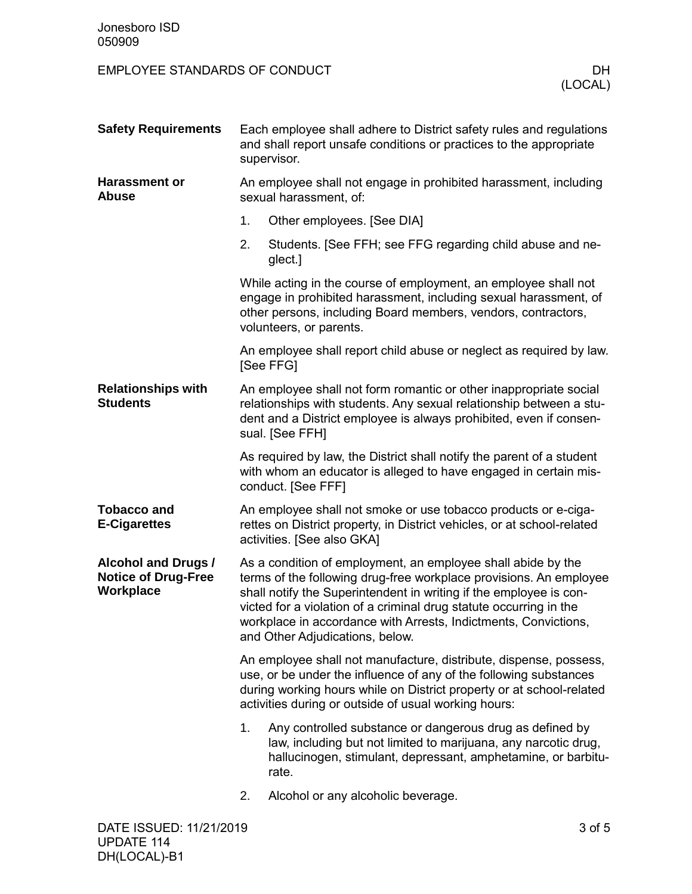| <b>Safety Requirements</b>                                            | Each employee shall adhere to District safety rules and regulations<br>and shall report unsafe conditions or practices to the appropriate<br>supervisor.                                                                                                                                                                                                                             |                                                                                                                                                                                                       |  |  |  |
|-----------------------------------------------------------------------|--------------------------------------------------------------------------------------------------------------------------------------------------------------------------------------------------------------------------------------------------------------------------------------------------------------------------------------------------------------------------------------|-------------------------------------------------------------------------------------------------------------------------------------------------------------------------------------------------------|--|--|--|
| <b>Harassment or</b><br><b>Abuse</b>                                  | An employee shall not engage in prohibited harassment, including<br>sexual harassment, of:                                                                                                                                                                                                                                                                                           |                                                                                                                                                                                                       |  |  |  |
|                                                                       | 1.                                                                                                                                                                                                                                                                                                                                                                                   | Other employees. [See DIA]                                                                                                                                                                            |  |  |  |
|                                                                       | 2.                                                                                                                                                                                                                                                                                                                                                                                   | Students. [See FFH; see FFG regarding child abuse and ne-<br>glect.]                                                                                                                                  |  |  |  |
|                                                                       | While acting in the course of employment, an employee shall not<br>engage in prohibited harassment, including sexual harassment, of<br>other persons, including Board members, vendors, contractors,<br>volunteers, or parents.                                                                                                                                                      |                                                                                                                                                                                                       |  |  |  |
|                                                                       | An employee shall report child abuse or neglect as required by law.<br>[See FFG]                                                                                                                                                                                                                                                                                                     |                                                                                                                                                                                                       |  |  |  |
| <b>Relationships with</b><br><b>Students</b>                          | An employee shall not form romantic or other inappropriate social<br>relationships with students. Any sexual relationship between a stu-<br>dent and a District employee is always prohibited, even if consen-<br>sual. [See FFH]                                                                                                                                                    |                                                                                                                                                                                                       |  |  |  |
|                                                                       | As required by law, the District shall notify the parent of a student<br>with whom an educator is alleged to have engaged in certain mis-<br>conduct. [See FFF]                                                                                                                                                                                                                      |                                                                                                                                                                                                       |  |  |  |
| <b>Tobacco and</b><br><b>E-Cigarettes</b>                             |                                                                                                                                                                                                                                                                                                                                                                                      | An employee shall not smoke or use tobacco products or e-ciga-<br>rettes on District property, in District vehicles, or at school-related<br>activities. [See also GKA]                               |  |  |  |
| <b>Alcohol and Drugs /</b><br><b>Notice of Drug-Free</b><br>Workplace | As a condition of employment, an employee shall abide by the<br>terms of the following drug-free workplace provisions. An employee<br>shall notify the Superintendent in writing if the employee is con-<br>victed for a violation of a criminal drug statute occurring in the<br>workplace in accordance with Arrests, Indictments, Convictions,<br>and Other Adjudications, below. |                                                                                                                                                                                                       |  |  |  |
|                                                                       | An employee shall not manufacture, distribute, dispense, possess,<br>use, or be under the influence of any of the following substances<br>during working hours while on District property or at school-related<br>activities during or outside of usual working hours:                                                                                                               |                                                                                                                                                                                                       |  |  |  |
|                                                                       | 1.                                                                                                                                                                                                                                                                                                                                                                                   | Any controlled substance or dangerous drug as defined by<br>law, including but not limited to marijuana, any narcotic drug,<br>hallucinogen, stimulant, depressant, amphetamine, or barbitu-<br>rate. |  |  |  |
|                                                                       | 2.                                                                                                                                                                                                                                                                                                                                                                                   | Alcohol or any alcoholic beverage.                                                                                                                                                                    |  |  |  |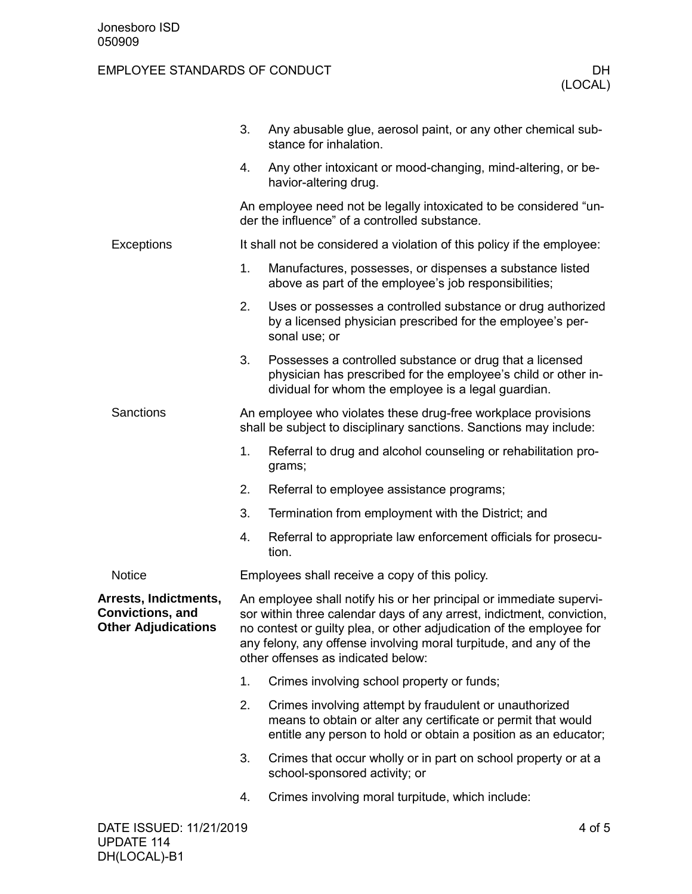|                                                                                | 3.                                                                                                                                                                                                                                                                                                                              | Any abusable glue, aerosol paint, or any other chemical sub-<br>stance for inhalation.                                                                                                     |        |
|--------------------------------------------------------------------------------|---------------------------------------------------------------------------------------------------------------------------------------------------------------------------------------------------------------------------------------------------------------------------------------------------------------------------------|--------------------------------------------------------------------------------------------------------------------------------------------------------------------------------------------|--------|
|                                                                                | 4.                                                                                                                                                                                                                                                                                                                              | Any other intoxicant or mood-changing, mind-altering, or be-<br>havior-altering drug.                                                                                                      |        |
|                                                                                | An employee need not be legally intoxicated to be considered "un-<br>der the influence" of a controlled substance.                                                                                                                                                                                                              |                                                                                                                                                                                            |        |
| Exceptions                                                                     | It shall not be considered a violation of this policy if the employee:                                                                                                                                                                                                                                                          |                                                                                                                                                                                            |        |
|                                                                                | 1.                                                                                                                                                                                                                                                                                                                              | Manufactures, possesses, or dispenses a substance listed<br>above as part of the employee's job responsibilities;                                                                          |        |
|                                                                                | 2.                                                                                                                                                                                                                                                                                                                              | Uses or possesses a controlled substance or drug authorized<br>by a licensed physician prescribed for the employee's per-<br>sonal use; or                                                 |        |
|                                                                                | 3.                                                                                                                                                                                                                                                                                                                              | Possesses a controlled substance or drug that a licensed<br>physician has prescribed for the employee's child or other in-<br>dividual for whom the employee is a legal guardian.          |        |
| Sanctions                                                                      |                                                                                                                                                                                                                                                                                                                                 | An employee who violates these drug-free workplace provisions<br>shall be subject to disciplinary sanctions. Sanctions may include:                                                        |        |
|                                                                                | 1.                                                                                                                                                                                                                                                                                                                              | Referral to drug and alcohol counseling or rehabilitation pro-<br>grams;                                                                                                                   |        |
|                                                                                | 2.                                                                                                                                                                                                                                                                                                                              | Referral to employee assistance programs;                                                                                                                                                  |        |
|                                                                                | 3.                                                                                                                                                                                                                                                                                                                              | Termination from employment with the District; and                                                                                                                                         |        |
|                                                                                | 4.                                                                                                                                                                                                                                                                                                                              | Referral to appropriate law enforcement officials for prosecu-<br>tion.                                                                                                                    |        |
| <b>Notice</b>                                                                  |                                                                                                                                                                                                                                                                                                                                 | Employees shall receive a copy of this policy.                                                                                                                                             |        |
| Arrests, Indictments,<br><b>Convictions, and</b><br><b>Other Adjudications</b> | An employee shall notify his or her principal or immediate supervi-<br>sor within three calendar days of any arrest, indictment, conviction,<br>no contest or guilty plea, or other adjudication of the employee for<br>any felony, any offense involving moral turpitude, and any of the<br>other offenses as indicated below: |                                                                                                                                                                                            |        |
|                                                                                | 1.                                                                                                                                                                                                                                                                                                                              | Crimes involving school property or funds;                                                                                                                                                 |        |
|                                                                                | 2.                                                                                                                                                                                                                                                                                                                              | Crimes involving attempt by fraudulent or unauthorized<br>means to obtain or alter any certificate or permit that would<br>entitle any person to hold or obtain a position as an educator; |        |
|                                                                                | 3.                                                                                                                                                                                                                                                                                                                              | Crimes that occur wholly or in part on school property or at a<br>school-sponsored activity; or                                                                                            |        |
|                                                                                | 4.                                                                                                                                                                                                                                                                                                                              | Crimes involving moral turpitude, which include:                                                                                                                                           |        |
| DATE ISSUED: 11/21/2019                                                        |                                                                                                                                                                                                                                                                                                                                 |                                                                                                                                                                                            | 4 of 5 |